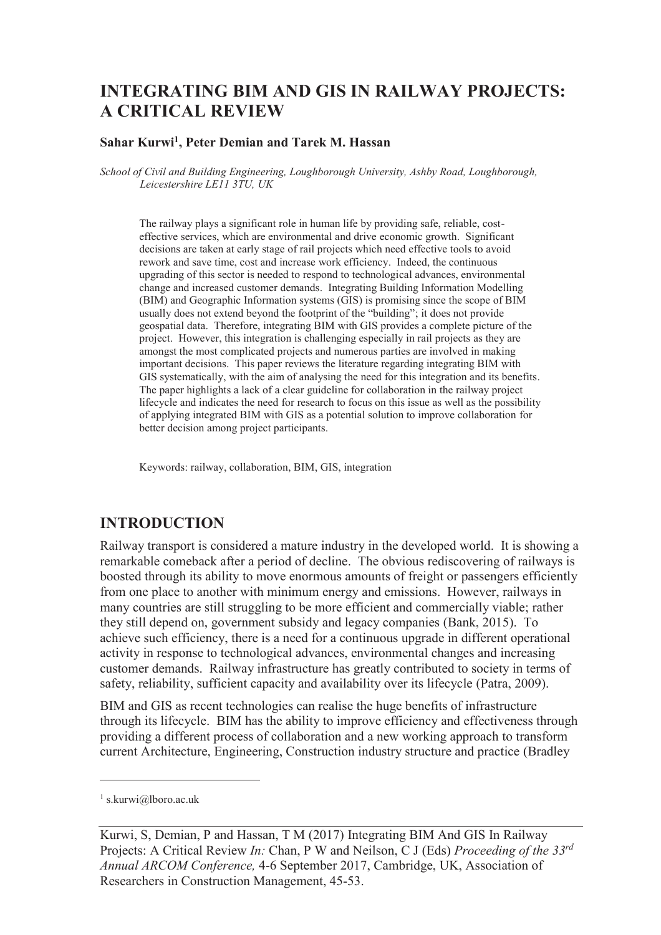# **INTEGRATING BIM AND GIS IN RAILWAY PROJECTS: A CRITICAL REVIEW**

### **Sahar Kurwi<sup>1</sup> , Peter Demian and Tarek M. Hassan**

*School of Civil and Building Engineering, Loughborough University, Ashby Road, Loughborough, Leicestershire LE11 3TU, UK* 

The railway plays a significant role in human life by providing safe, reliable, costeffective services, which are environmental and drive economic growth. Significant decisions are taken at early stage of rail projects which need effective tools to avoid rework and save time, cost and increase work efficiency. Indeed, the continuous upgrading of this sector is needed to respond to technological advances, environmental change and increased customer demands. Integrating Building Information Modelling (BIM) and Geographic Information systems (GIS) is promising since the scope of BIM usually does not extend beyond the footprint of the "building"; it does not provide geospatial data. Therefore, integrating BIM with GIS provides a complete picture of the project. However, this integration is challenging especially in rail projects as they are amongst the most complicated projects and numerous parties are involved in making important decisions. This paper reviews the literature regarding integrating BIM with GIS systematically, with the aim of analysing the need for this integration and its benefits. The paper highlights a lack of a clear guideline for collaboration in the railway project lifecycle and indicates the need for research to focus on this issue as well as the possibility of applying integrated BIM with GIS as a potential solution to improve collaboration for better decision among project participants.

Keywords: railway, collaboration, BIM, GIS, integration

### **INTRODUCTION**

Railway transport is considered a mature industry in the developed world. It is showing a remarkable comeback after a period of decline. The obvious rediscovering of railways is boosted through its ability to move enormous amounts of freight or passengers efficiently from one place to another with minimum energy and emissions. However, railways in many countries are still struggling to be more efficient and commercially viable; rather they still depend on, government subsidy and legacy companies (Bank, 2015). To achieve such efficiency, there is a need for a continuous upgrade in different operational activity in response to technological advances, environmental changes and increasing customer demands. Railway infrastructure has greatly contributed to society in terms of safety, reliability, sufficient capacity and availability over its lifecycle (Patra, 2009).

BIM and GIS as recent technologies can realise the huge benefits of infrastructure through its lifecycle. BIM has the ability to improve efficiency and effectiveness through providing a different process of collaboration and a new working approach to transform current Architecture, Engineering, Construction industry structure and practice (Bradley

-

<sup>1</sup> s.kurwi@lboro.ac.uk

Kurwi, S, Demian, P and Hassan, T M (2017) Integrating BIM And GIS In Railway Projects: A Critical Review *In:* Chan, P W and Neilson, C J (Eds) *Proceeding of the 33rd Annual ARCOM Conference,* 4-6 September 2017, Cambridge, UK, Association of Researchers in Construction Management, 45-53.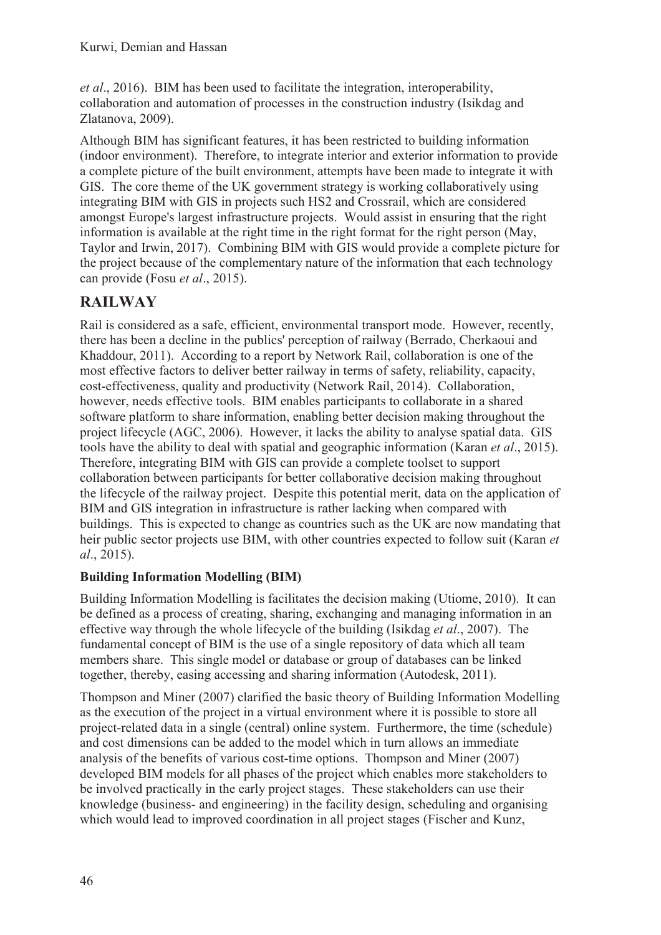*et al*., 2016). BIM has been used to facilitate the integration, interoperability, collaboration and automation of processes in the construction industry (Isikdag and Zlatanova, 2009).

Although BIM has significant features, it has been restricted to building information (indoor environment). Therefore, to integrate interior and exterior information to provide a complete picture of the built environment, attempts have been made to integrate it with GIS. The core theme of the UK government strategy is working collaboratively using integrating BIM with GIS in projects such HS2 and Crossrail, which are considered amongst Europe's largest infrastructure projects. Would assist in ensuring that the right information is available at the right time in the right format for the right person (May, Taylor and Irwin, 2017). Combining BIM with GIS would provide a complete picture for the project because of the complementary nature of the information that each technology can provide (Fosu *et al*., 2015).

## **RAILWAY**

Rail is considered as a safe, efficient, environmental transport mode. However, recently, there has been a decline in the publics' perception of railway (Berrado, Cherkaoui and Khaddour, 2011). According to a report by Network Rail, collaboration is one of the most effective factors to deliver better railway in terms of safety, reliability, capacity, cost-effectiveness, quality and productivity (Network Rail, 2014). Collaboration, however, needs effective tools. BIM enables participants to collaborate in a shared software platform to share information, enabling better decision making throughout the project lifecycle (AGC, 2006). However, it lacks the ability to analyse spatial data. GIS tools have the ability to deal with spatial and geographic information (Karan *et al*., 2015). Therefore, integrating BIM with GIS can provide a complete toolset to support collaboration between participants for better collaborative decision making throughout the lifecycle of the railway project. Despite this potential merit, data on the application of BIM and GIS integration in infrastructure is rather lacking when compared with buildings. This is expected to change as countries such as the UK are now mandating that heir public sector projects use BIM, with other countries expected to follow suit (Karan *et al*., 2015).

### **Building Information Modelling (BIM)**

Building Information Modelling is facilitates the decision making (Utiome, 2010). It can be defined as a process of creating, sharing, exchanging and managing information in an effective way through the whole lifecycle of the building (Isikdag *et al*., 2007). The fundamental concept of BIM is the use of a single repository of data which all team members share. This single model or database or group of databases can be linked together, thereby, easing accessing and sharing information (Autodesk, 2011).

Thompson and Miner (2007) clarified the basic theory of Building Information Modelling as the execution of the project in a virtual environment where it is possible to store all project-related data in a single (central) online system. Furthermore, the time (schedule) and cost dimensions can be added to the model which in turn allows an immediate analysis of the benefits of various cost-time options. Thompson and Miner (2007) developed BIM models for all phases of the project which enables more stakeholders to be involved practically in the early project stages. These stakeholders can use their knowledge (business- and engineering) in the facility design, scheduling and organising which would lead to improved coordination in all project stages (Fischer and Kunz,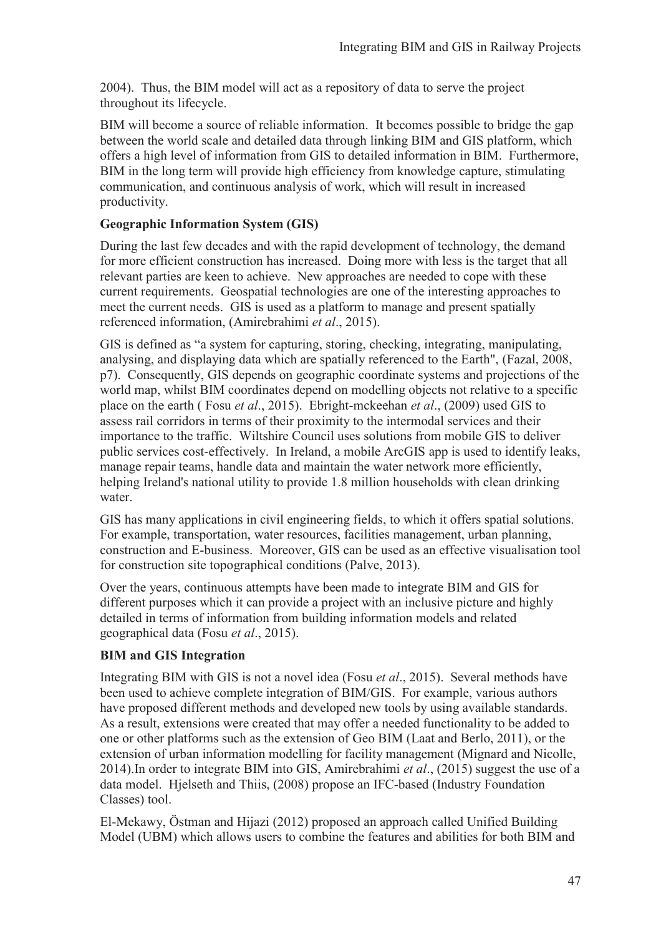2004). Thus, the BIM model will act as a repository of data to serve the project throughout its lifecycle.

BIM will become a source of reliable information. It becomes possible to bridge the gap between the world scale and detailed data through linking BIM and GIS platform, which offers a high level of information from GIS to detailed information in BIM. Furthermore, BIM in the long term will provide high efficiency from knowledge capture, stimulating communication, and continuous analysis of work, which will result in increased productivity.

### **Geographic Information System (GIS)**

During the last few decades and with the rapid development of technology, the demand for more efficient construction has increased. Doing more with less is the target that all relevant parties are keen to achieve. New approaches are needed to cope with these current requirements. Geospatial technologies are one of the interesting approaches to meet the current needs. GIS is used as a platform to manage and present spatially referenced information, (Amirebrahimi *et al*., 2015).

GIS is defined as "a system for capturing, storing, checking, integrating, manipulating, analysing, and displaying data which are spatially referenced to the Earth", (Fazal, 2008, p7). Consequently, GIS depends on geographic coordinate systems and projections of the world map, whilst BIM coordinates depend on modelling objects not relative to a specific place on the earth ( Fosu *et al*., 2015). Ebright-mckeehan *et al*., (2009) used GIS to assess rail corridors in terms of their proximity to the intermodal services and their importance to the traffic. Wiltshire Council uses solutions from mobile GIS to deliver public services cost-effectively. In Ireland, a mobile ArcGIS app is used to identify leaks, manage repair teams, handle data and maintain the water network more efficiently, helping Ireland's national utility to provide 1.8 million households with clean drinking water.

GIS has many applications in civil engineering fields, to which it offers spatial solutions. For example, transportation, water resources, facilities management, urban planning, construction and E-business. Moreover, GIS can be used as an effective visualisation tool for construction site topographical conditions (Palve, 2013).

Over the years, continuous attempts have been made to integrate BIM and GIS for different purposes which it can provide a project with an inclusive picture and highly detailed in terms of information from building information models and related geographical data (Fosu *et al*., 2015).

### **BIM and GIS Integration**

Integrating BIM with GIS is not a novel idea (Fosu *et al*., 2015). Several methods have been used to achieve complete integration of BIM/GIS. For example, various authors have proposed different methods and developed new tools by using available standards. As a result, extensions were created that may offer a needed functionality to be added to one or other platforms such as the extension of Geo BIM (Laat and Berlo, 2011), or the extension of urban information modelling for facility management (Mignard and Nicolle, 2014).In order to integrate BIM into GIS, Amirebrahimi *et al*., (2015) suggest the use of a data model. Hjelseth and Thiis, (2008) propose an IFC-based (Industry Foundation Classes) tool.

El-Mekawy, Östman and Hijazi (2012) proposed an approach called Unified Building Model (UBM) which allows users to combine the features and abilities for both BIM and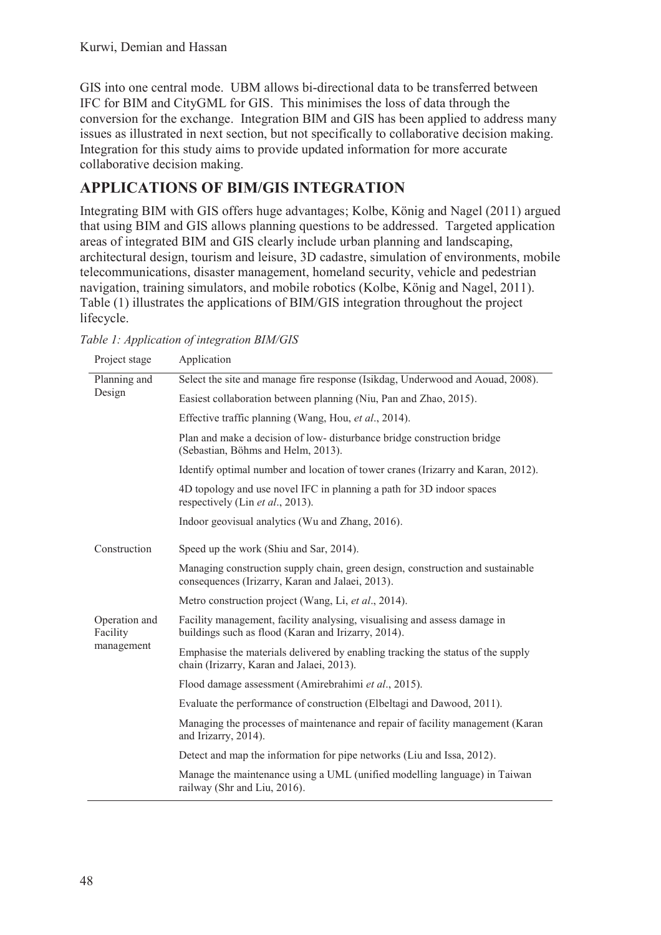GIS into one central mode. UBM allows bi-directional data to be transferred between IFC for BIM and CityGML for GIS. This minimises the loss of data through the conversion for the exchange. Integration BIM and GIS has been applied to address many issues as illustrated in next section, but not specifically to collaborative decision making. Integration for this study aims to provide updated information for more accurate collaborative decision making.

# **APPLICATIONS OF BIM/GIS INTEGRATION**

Integrating BIM with GIS offers huge advantages; Kolbe, König and Nagel (2011) argued that using BIM and GIS allows planning questions to be addressed. Targeted application areas of integrated BIM and GIS clearly include urban planning and landscaping, architectural design, tourism and leisure, 3D cadastre, simulation of environments, mobile telecommunications, disaster management, homeland security, vehicle and pedestrian navigation, training simulators, and mobile robotics (Kolbe, König and Nagel, 2011). Table (1) illustrates the applications of BIM/GIS integration throughout the project lifecycle.

| Project stage                           | Application                                                                                                                        |
|-----------------------------------------|------------------------------------------------------------------------------------------------------------------------------------|
| Planning and<br>Design                  | Select the site and manage fire response (Isikdag, Underwood and Aouad, 2008).                                                     |
|                                         | Easiest collaboration between planning (Niu, Pan and Zhao, 2015).                                                                  |
|                                         | Effective traffic planning (Wang, Hou, et al., 2014).                                                                              |
|                                         | Plan and make a decision of low- disturbance bridge construction bridge<br>(Sebastian, Böhms and Helm, 2013).                      |
|                                         | Identify optimal number and location of tower cranes (Irizarry and Karan, 2012).                                                   |
|                                         | 4D topology and use novel IFC in planning a path for 3D indoor spaces<br>respectively (Lin et al., 2013).                          |
|                                         | Indoor geovisual analytics (Wu and Zhang, 2016).                                                                                   |
| Construction                            | Speed up the work (Shiu and Sar, 2014).                                                                                            |
|                                         | Managing construction supply chain, green design, construction and sustainable<br>consequences (Irizarry, Karan and Jalaei, 2013). |
|                                         | Metro construction project (Wang, Li, et al., 2014).                                                                               |
| Operation and<br>Facility<br>management | Facility management, facility analysing, visualising and assess damage in<br>buildings such as flood (Karan and Irizarry, 2014).   |
|                                         | Emphasise the materials delivered by enabling tracking the status of the supply<br>chain (Irizarry, Karan and Jalaei, 2013).       |
|                                         | Flood damage assessment (Amirebrahimi et al., 2015).                                                                               |
|                                         | Evaluate the performance of construction (Elbeltagi and Dawood, 2011).                                                             |
|                                         | Managing the processes of maintenance and repair of facility management (Karan<br>and Irizarry, 2014).                             |
|                                         | Detect and map the information for pipe networks (Liu and Issa, 2012).                                                             |
|                                         | Manage the maintenance using a UML (unified modelling language) in Taiwan<br>railway (Shr and Liu, 2016).                          |

*Table 1: Application of integration BIM/GIS*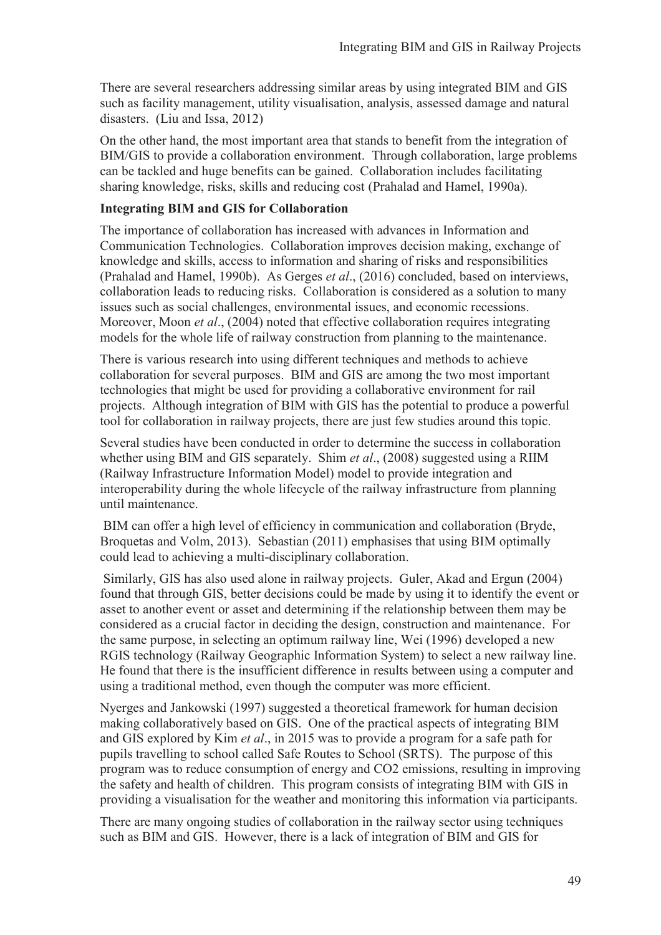There are several researchers addressing similar areas by using integrated BIM and GIS such as facility management, utility visualisation, analysis, assessed damage and natural disasters. (Liu and Issa, 2012)

On the other hand, the most important area that stands to benefit from the integration of BIM/GIS to provide a collaboration environment. Through collaboration, large problems can be tackled and huge benefits can be gained. Collaboration includes facilitating sharing knowledge, risks, skills and reducing cost (Prahalad and Hamel, 1990a).

### **Integrating BIM and GIS for Collaboration**

The importance of collaboration has increased with advances in Information and Communication Technologies. Collaboration improves decision making, exchange of knowledge and skills, access to information and sharing of risks and responsibilities (Prahalad and Hamel, 1990b). As Gerges *et al*., (2016) concluded, based on interviews, collaboration leads to reducing risks. Collaboration is considered as a solution to many issues such as social challenges, environmental issues, and economic recessions. Moreover, Moon *et al.*, (2004) noted that effective collaboration requires integrating models for the whole life of railway construction from planning to the maintenance.

There is various research into using different techniques and methods to achieve collaboration for several purposes. BIM and GIS are among the two most important technologies that might be used for providing a collaborative environment for rail projects. Although integration of BIM with GIS has the potential to produce a powerful tool for collaboration in railway projects, there are just few studies around this topic.

Several studies have been conducted in order to determine the success in collaboration whether using BIM and GIS separately. Shim *et al*., (2008) suggested using a RIIM (Railway Infrastructure Information Model) model to provide integration and interoperability during the whole lifecycle of the railway infrastructure from planning until maintenance.

 BIM can offer a high level of efficiency in communication and collaboration (Bryde, Broquetas and Volm, 2013). Sebastian (2011) emphasises that using BIM optimally could lead to achieving a multi-disciplinary collaboration.

 Similarly, GIS has also used alone in railway projects. Guler, Akad and Ergun (2004) found that through GIS, better decisions could be made by using it to identify the event or asset to another event or asset and determining if the relationship between them may be considered as a crucial factor in deciding the design, construction and maintenance. For the same purpose, in selecting an optimum railway line, Wei (1996) developed a new RGIS technology (Railway Geographic Information System) to select a new railway line. He found that there is the insufficient difference in results between using a computer and using a traditional method, even though the computer was more efficient.

Nyerges and Jankowski (1997) suggested a theoretical framework for human decision making collaboratively based on GIS. One of the practical aspects of integrating BIM and GIS explored by Kim *et al*., in 2015 was to provide a program for a safe path for pupils travelling to school called Safe Routes to School (SRTS). The purpose of this program was to reduce consumption of energy and CO2 emissions, resulting in improving the safety and health of children. This program consists of integrating BIM with GIS in providing a visualisation for the weather and monitoring this information via participants.

There are many ongoing studies of collaboration in the railway sector using techniques such as BIM and GIS. However, there is a lack of integration of BIM and GIS for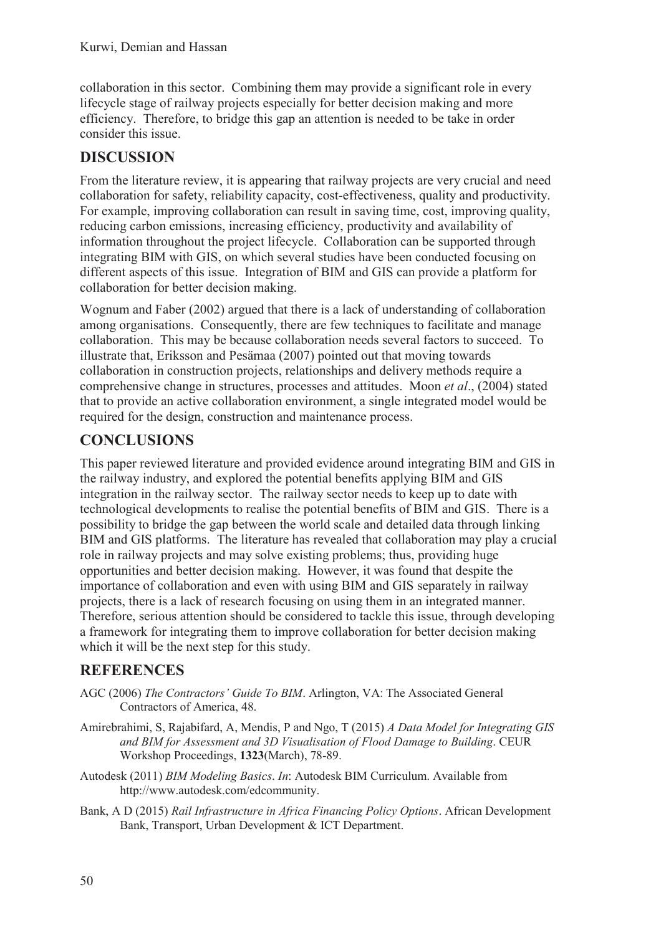collaboration in this sector. Combining them may provide a significant role in every lifecycle stage of railway projects especially for better decision making and more efficiency. Therefore, to bridge this gap an attention is needed to be take in order consider this issue.

# **DISCUSSION**

From the literature review, it is appearing that railway projects are very crucial and need collaboration for safety, reliability capacity, cost-effectiveness, quality and productivity. For example, improving collaboration can result in saving time, cost, improving quality, reducing carbon emissions, increasing efficiency, productivity and availability of information throughout the project lifecycle. Collaboration can be supported through integrating BIM with GIS, on which several studies have been conducted focusing on different aspects of this issue. Integration of BIM and GIS can provide a platform for collaboration for better decision making.

Wognum and Faber (2002) argued that there is a lack of understanding of collaboration among organisations. Consequently, there are few techniques to facilitate and manage collaboration. This may be because collaboration needs several factors to succeed. To illustrate that, Eriksson and Pesämaa (2007) pointed out that moving towards collaboration in construction projects, relationships and delivery methods require a comprehensive change in structures, processes and attitudes. Moon *et al*., (2004) stated that to provide an active collaboration environment, a single integrated model would be required for the design, construction and maintenance process.

## **CONCLUSIONS**

This paper reviewed literature and provided evidence around integrating BIM and GIS in the railway industry, and explored the potential benefits applying BIM and GIS integration in the railway sector. The railway sector needs to keep up to date with technological developments to realise the potential benefits of BIM and GIS. There is a possibility to bridge the gap between the world scale and detailed data through linking BIM and GIS platforms. The literature has revealed that collaboration may play a crucial role in railway projects and may solve existing problems; thus, providing huge opportunities and better decision making. However, it was found that despite the importance of collaboration and even with using BIM and GIS separately in railway projects, there is a lack of research focusing on using them in an integrated manner. Therefore, serious attention should be considered to tackle this issue, through developing a framework for integrating them to improve collaboration for better decision making which it will be the next step for this study.

## **REFERENCES**

- AGC (2006) *The Contractors' Guide To BIM*. Arlington, VA: The Associated General Contractors of America, 48.
- Amirebrahimi, S, Rajabifard, A, Mendis, P and Ngo, T (2015) *A Data Model for Integrating GIS and BIM for Assessment and 3D Visualisation of Flood Damage to Building*. CEUR Workshop Proceedings, **1323**(March), 78-89.
- Autodesk (2011) *BIM Modeling Basics*. *In*: Autodesk BIM Curriculum. Available from http://www.autodesk.com/edcommunity.
- Bank, A D (2015) *Rail Infrastructure in Africa Financing Policy Options*. African Development Bank, Transport, Urban Development & ICT Department.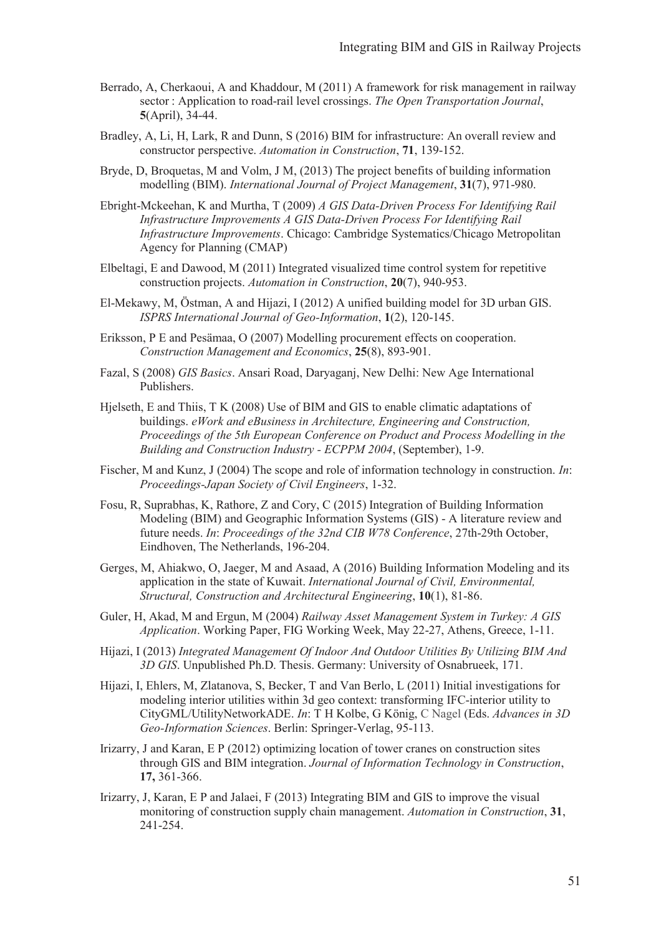- Berrado, A, Cherkaoui, A and Khaddour, M (2011) A framework for risk management in railway sector : Application to road-rail level crossings. *The Open Transportation Journal*, **5**(April), 34-44.
- Bradley, A, Li, H, Lark, R and Dunn, S (2016) BIM for infrastructure: An overall review and constructor perspective. *Automation in Construction*, **71**, 139-152.
- Bryde, D, Broquetas, M and Volm, J M, (2013) The project benefits of building information modelling (BIM). *International Journal of Project Management*, **31**(7), 971-980.
- Ebright-Mckeehan, K and Murtha, T (2009) *A GIS Data-Driven Process For Identifying Rail Infrastructure Improvements A GIS Data-Driven Process For Identifying Rail Infrastructure Improvements*. Chicago: Cambridge Systematics/Chicago Metropolitan Agency for Planning (CMAP)
- Elbeltagi, E and Dawood, M (2011) Integrated visualized time control system for repetitive construction projects. *Automation in Construction*, **20**(7), 940-953.
- El-Mekawy, M, Östman, A and Hijazi, I (2012) A unified building model for 3D urban GIS. *ISPRS International Journal of Geo-Information*, **1**(2), 120-145.
- Eriksson, P E and Pesämaa, O (2007) Modelling procurement effects on cooperation. *Construction Management and Economics*, **25**(8), 893-901.
- Fazal, S (2008) *GIS Basics*. Ansari Road, Daryaganj, New Delhi: New Age International Publishers.
- Hjelseth, E and Thiis, T K (2008) Use of BIM and GIS to enable climatic adaptations of buildings. *eWork and eBusiness in Architecture, Engineering and Construction, Proceedings of the 5th European Conference on Product and Process Modelling in the Building and Construction Industry - ECPPM 2004*, (September), 1-9.
- Fischer, M and Kunz, J (2004) The scope and role of information technology in construction. *In*: *Proceedings-Japan Society of Civil Engineers*, 1-32.
- Fosu, R, Suprabhas, K, Rathore, Z and Cory, C (2015) Integration of Building Information Modeling (BIM) and Geographic Information Systems (GIS) - A literature review and future needs. *In*: *Proceedings of the 32nd CIB W78 Conference*, 27th-29th October, Eindhoven, The Netherlands, 196-204.
- Gerges, M, Ahiakwo, O, Jaeger, M and Asaad, A (2016) Building Information Modeling and its application in the state of Kuwait. *International Journal of Civil, Environmental, Structural, Construction and Architectural Engineering*, **10**(1), 81-86.
- Guler, H, Akad, M and Ergun, M (2004) *Railway Asset Management System in Turkey: A GIS Application*. Working Paper, FIG Working Week, May 22-27, Athens, Greece, 1-11.
- Hijazi, I (2013) *Integrated Management Of Indoor And Outdoor Utilities By Utilizing BIM And 3D GIS*. Unpublished Ph.D. Thesis. Germany: University of Osnabrueek, 171.
- Hijazi, I, Ehlers, M, Zlatanova, S, Becker, T and Van Berlo, L (2011) Initial investigations for modeling interior utilities within 3d geo context: transforming IFC-interior utility to CityGML/UtilityNetworkADE. *In*: T H Kolbe, G König, C Nagel (Eds. *Advances in 3D Geo-Information Sciences*. Berlin: Springer-Verlag, 95-113.
- Irizarry, J and Karan, E P (2012) optimizing location of tower cranes on construction sites through GIS and BIM integration. *Journal of Information Technology in Construction*, **17,** 361-366.
- Irizarry, J, Karan, E P and Jalaei, F (2013) Integrating BIM and GIS to improve the visual monitoring of construction supply chain management. *Automation in Construction*, **31**, 241-254.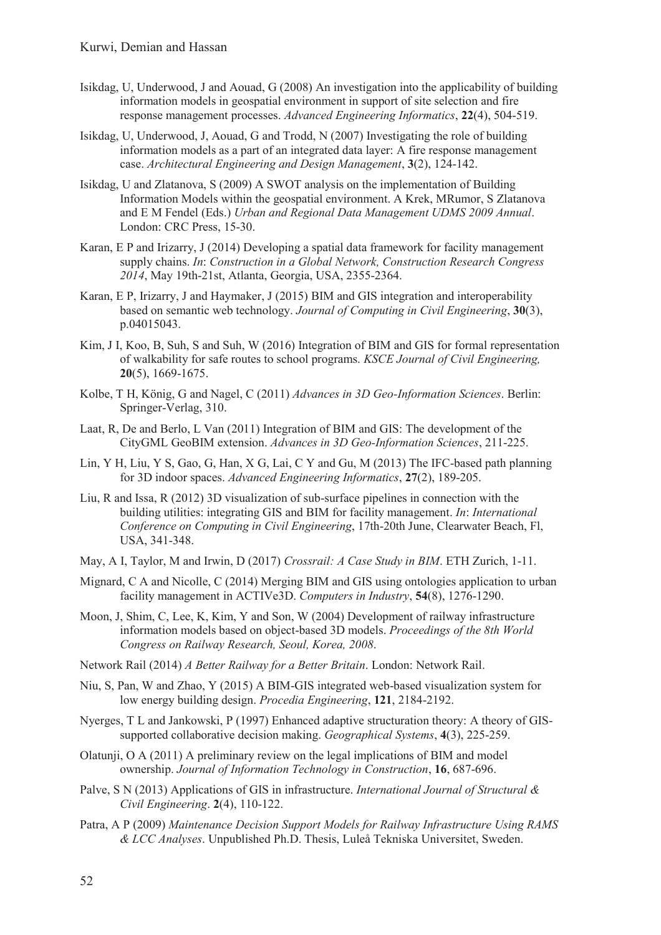- Isikdag, U, Underwood, J and Aouad, G (2008) An investigation into the applicability of building information models in geospatial environment in support of site selection and fire response management processes. *Advanced Engineering Informatics*, **22**(4), 504-519.
- Isikdag, U, Underwood, J, Aouad, G and Trodd, N (2007) Investigating the role of building information models as a part of an integrated data layer: A fire response management case. *Architectural Engineering and Design Management*, **3**(2), 124-142.
- Isikdag, U and Zlatanova, S (2009) A SWOT analysis on the implementation of Building Information Models within the geospatial environment. A Krek, MRumor, S Zlatanova and E M Fendel (Eds.) *Urban and Regional Data Management UDMS 2009 Annual*. London: CRC Press, 15-30.
- Karan, E P and Irizarry, J (2014) Developing a spatial data framework for facility management supply chains. *In*: *Construction in a Global Network, Construction Research Congress 2014*, May 19th-21st, Atlanta, Georgia, USA, 2355-2364.
- Karan, E P, Irizarry, J and Haymaker, J (2015) BIM and GIS integration and interoperability based on semantic web technology. *Journal of Computing in Civil Engineering*, **30**(3), p.04015043.
- Kim, J I, Koo, B, Suh, S and Suh, W (2016) Integration of BIM and GIS for formal representation of walkability for safe routes to school programs. *KSCE Journal of Civil Engineering,* **20**(5), 1669-1675.
- Kolbe, T H, König, G and Nagel, C (2011) *Advances in 3D Geo-Information Sciences*. Berlin: Springer-Verlag, 310.
- Laat, R, De and Berlo, L Van (2011) Integration of BIM and GIS: The development of the CityGML GeoBIM extension. *Advances in 3D Geo-Information Sciences*, 211-225.
- Lin, Y H, Liu, Y S, Gao, G, Han, X G, Lai, C Y and Gu, M (2013) The IFC-based path planning for 3D indoor spaces. *Advanced Engineering Informatics*, **27**(2), 189-205.
- Liu, R and Issa, R (2012) 3D visualization of sub-surface pipelines in connection with the building utilities: integrating GIS and BIM for facility management. *In*: *International Conference on Computing in Civil Engineering*, 17th-20th June, Clearwater Beach, Fl, USA, 341-348.
- May, A I, Taylor, M and Irwin, D (2017) *Crossrail: A Case Study in BIM*. ETH Zurich, 1-11.
- Mignard, C A and Nicolle, C (2014) Merging BIM and GIS using ontologies application to urban facility management in ACTIVe3D. *Computers in Industry*, **54**(8), 1276-1290.
- Moon, J, Shim, C, Lee, K, Kim, Y and Son, W (2004) Development of railway infrastructure information models based on object-based 3D models. *Proceedings of the 8th World Congress on Railway Research, Seoul, Korea, 2008*.
- Network Rail (2014) *A Better Railway for a Better Britain*. London: Network Rail.
- Niu, S, Pan, W and Zhao, Y (2015) A BIM-GIS integrated web-based visualization system for low energy building design. *Procedia Engineering*, **121**, 2184-2192.
- Nyerges, T L and Jankowski, P (1997) Enhanced adaptive structuration theory: A theory of GISsupported collaborative decision making. *Geographical Systems*, **4**(3), 225-259.
- Olatunji, O A (2011) A preliminary review on the legal implications of BIM and model ownership. *Journal of Information Technology in Construction*, **16**, 687-696.
- Palve, S N (2013) Applications of GIS in infrastructure. *International Journal of Structural & Civil Engineering*. **2**(4), 110-122.
- Patra, A P (2009) *Maintenance Decision Support Models for Railway Infrastructure Using RAMS & LCC Analyses*. Unpublished Ph.D. Thesis, Luleå Tekniska Universitet, Sweden.